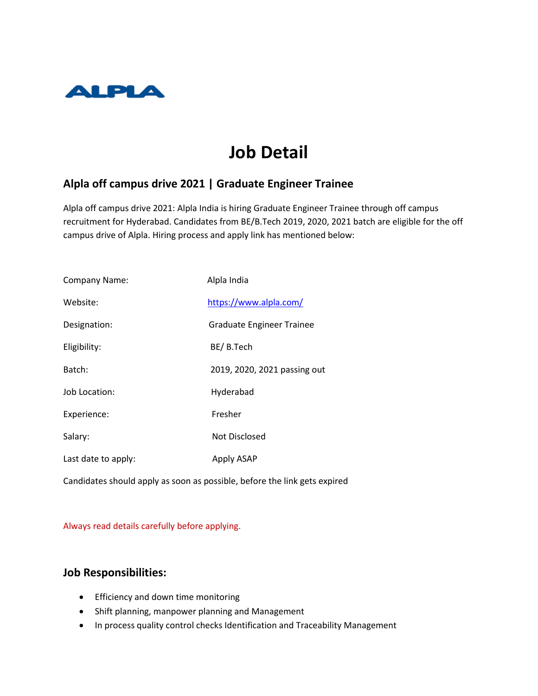

# **Job Detail**

### **Alpla off campus drive 2021 | Graduate Engineer Trainee**

Alpla off campus drive 2021: Alpla India is hiring Graduate Engineer Trainee through off campus recruitment for Hyderabad. Candidates from BE/B.Tech 2019, 2020, 2021 batch are eligible for the off campus drive of Alpla. Hiring process and apply link has mentioned below:

| Company Name:       | Alpla India                      |
|---------------------|----------------------------------|
| Website:            | https://www.alpla.com/           |
| Designation:        | <b>Graduate Engineer Trainee</b> |
| Eligibility:        | BE/B.Tech                        |
| Batch:              | 2019, 2020, 2021 passing out     |
| Job Location:       | Hyderabad                        |
| Experience:         | Fresher                          |
| Salary:             | Not Disclosed                    |
| Last date to apply: | Apply ASAP                       |
|                     |                                  |

Candidates should apply as soon as possible, before the link gets expired

#### Always read details carefully before applying.

#### **Job Responsibilities:**

- **•** Efficiency and down time monitoring
- Shift planning, manpower planning and Management
- In process quality control checks Identification and Traceability Management